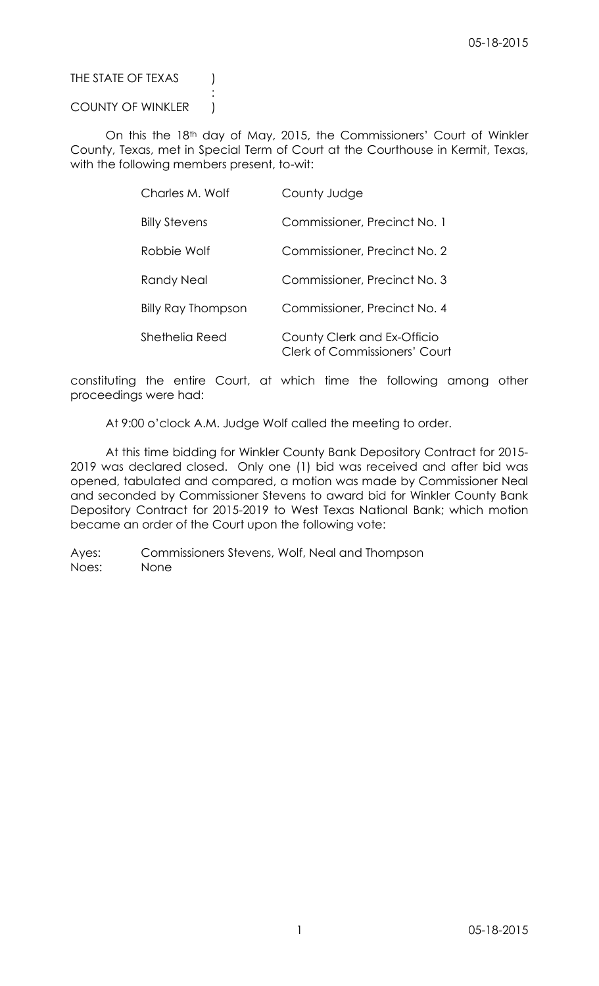# THE STATE OF TEXAS (

# COUNTY OF WINKLER |

:

On this the 18th day of May, 2015, the Commissioners' Court of Winkler County, Texas, met in Special Term of Court at the Courthouse in Kermit, Texas, with the following members present, to-wit:

| Charles M. Wolf           | County Judge                                                        |
|---------------------------|---------------------------------------------------------------------|
| <b>Billy Stevens</b>      | Commissioner, Precinct No. 1                                        |
| Robbie Wolf               | Commissioner, Precinct No. 2                                        |
| Randy Neal                | Commissioner, Precinct No. 3                                        |
| <b>Billy Ray Thompson</b> | Commissioner, Precinct No. 4                                        |
| Shethelia Reed            | County Clerk and Ex-Officio<br><b>Clerk of Commissioners' Court</b> |

constituting the entire Court, at which time the following among other proceedings were had:

At 9:00 o'clock A.M. Judge Wolf called the meeting to order.

At this time bidding for Winkler County Bank Depository Contract for 2015- 2019 was declared closed. Only one (1) bid was received and after bid was opened, tabulated and compared, a motion was made by Commissioner Neal and seconded by Commissioner Stevens to award bid for Winkler County Bank Depository Contract for 2015-2019 to West Texas National Bank; which motion became an order of the Court upon the following vote:

Ayes: Commissioners Stevens, Wolf, Neal and Thompson Noes: None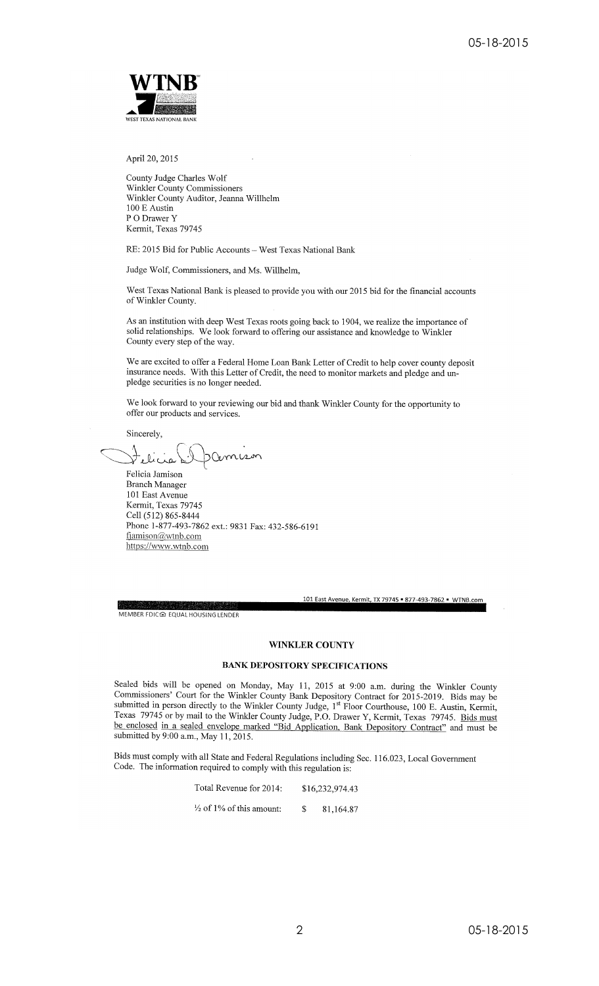

April 20, 2015

County Judge Charles Wolf Winkler County Commissioners Winkler County Auditor, Jeanna Willhelm 100 E Austin P O Drawer Y Kermit, Texas 79745

RE: 2015 Bid for Public Accounts - West Texas National Bank

Judge Wolf, Commissioners, and Ms. Willhelm,

West Texas National Bank is pleased to provide you with our 2015 bid for the financial accounts of Winkler County.

As an institution with deep West Texas roots going back to 1904, we realize the importance of solid relationships. We look forward to offering our assistance and knowledge to Winkler County every step of the way.

We are excited to offer a Federal Home Loan Bank Letter of Credit to help cover county deposit insurance needs. With this Letter of Credit, the need to monitor markets and pledge and unpledge securities is no longer needed.

We look forward to your reviewing our bid and thank Winkler County for the opportunity to offer our products and services.

Sincerely,

.<br>ملک

Felicia Jamison **Branch Manager** 101 East Avenue Kermit, Texas 79745 Cell (512) 865-8444 Phone 1-877-493-7862 ext.: 9831 Fax: 432-586-6191 fjamison@wtnb.com https://www.wtnb.com

101 East Avenue, Kermit, TX 79745 = 877-493-7862 = WTNB.com

MEMBER FDIC@ EQUAL HOUSING LENDER

### **WINKLER COUNTY**

### **BANK DEPOSITORY SPECIFICATIONS**

Sealed bids will be opened on Monday, May 11, 2015 at 9:00 a.m. during the Winkler County Commissioners' Court for the Winkler County Bank Depository Contract for 2015-2019. Bids may be submitted in person directly to the Winkler County Judge, 1<sup>st</sup> Floor Courthouse, 100 E. Austin, Kermit, Texas 79745 or by mail to the Winkler County Judge, P.O. Drawer Y, Kermit, Texas 79745. Bids must be enclosed in a sealed envelope marked "Bid Application, Bank Depository Contract" and must be submitted by 9:00 a.m., May 11, 2015.

Bids must comply with all State and Federal Regulations including Sec. 116.023, Local Government Code. The information required to comply with this regulation is:

| Total Revenue for 2014:             | \$16,232,974.43 |
|-------------------------------------|-----------------|
| $\frac{1}{2}$ of 1% of this amount: | 81,164.87       |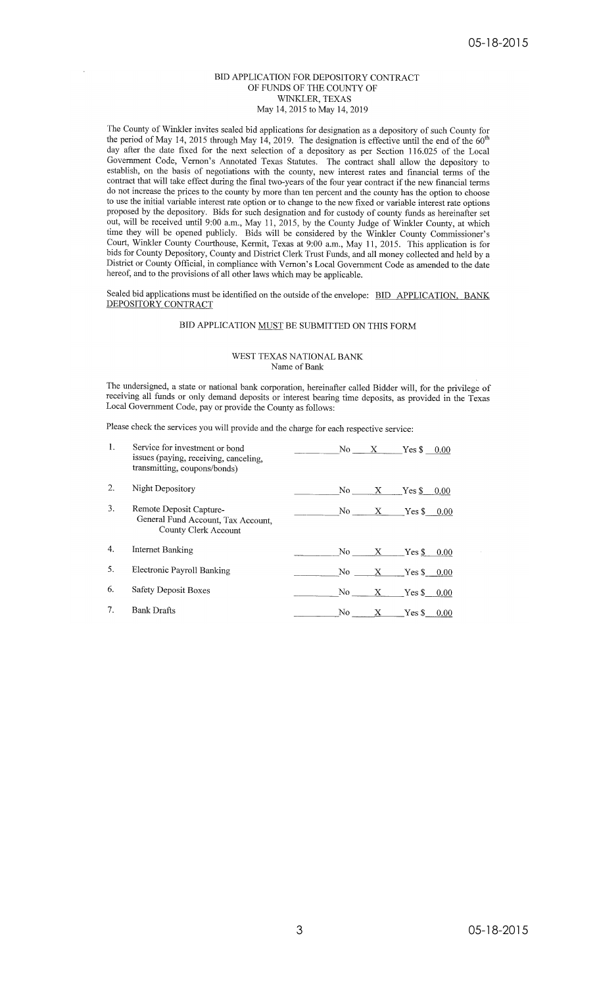### BID APPLICATION FOR DEPOSITORY CONTRACT OF FUNDS OF THE COUNTY OF WINKLER, TEXAS May 14, 2015 to May 14, 2019

The County of Winkler invites sealed bid applications for designation as a depository of such County for<br>the period of May 14, 2015 through May 14, 2019. The designation is effective until the end of the 60<sup>th</sup><br>day often day after the date fixed for the next selection of a depository as per Section 116.025 of the Local Government Code, Vernon's Annotated Texas Statutes. The contract shall allow the depository to establish, on the basis of negotiations with the county, new interest rates and financial terms of the contract that will take effect during the final two-years of the four year contract if the new financial terms do not increase the prices to the county by more than ten percent and the county has the option to choose to use the initial variable interest rate option or to change to the new fixed or variable interest rate options proposed by the depository. Bids for such designation and for custody of county funds as hereinafter set<br>out, will be received until 9:00 a.m., May 11, 2015, by the County Judge of Winkler County, at which time they will be opened publicly. Bids will be considered by the Winkler County Commissioner's Court, Winkler County Courthouse, Kermit, Texas at 9:00 a.m., May 11, 2015. This application is for bids for County Depository, County and District Clerk Trust Funds, and all money collected and held by a District or County Official, in compliance with Vernon's Local Government Code as amended to the date hereof, and to the provisions of all other laws which may be applicable.

Sealed bid applications must be identified on the outside of the envelope: BID APPLICATION, BANK DEPOSITORY CONTRACT

### BID APPLICATION MUST BE SUBMITTED ON THIS FORM

#### WEST TEXAS NATIONAL BANK Name of Bank

The undersigned, a state or national bank corporation, hereinafter called Bidder will, for the privilege of receiving all funds or only demand deposits or interest bearing time deposits, as provided in the Texas Local Government Code, pay or provide the County as follows:

Please check the services you will provide and the charge for each respective service:

| 1. | Service for investment or bond<br>issues (paying, receiving, canceling,<br>transmitting, coupons/bonds) | No  | X.           | $Yes$ $$$ | 0.00 |
|----|---------------------------------------------------------------------------------------------------------|-----|--------------|-----------|------|
| 2. | Night Depository                                                                                        | No  | X            | Yes \$    | 0.00 |
| 3. | Remote Deposit Capture-<br>General Fund Account, Tax Account,<br>County Clerk Account                   | No  | $\mathbf{X}$ | $Yes$ $$$ | 0.00 |
| 4. | Internet Banking                                                                                        | No  | X            | $Yes$ $$$ | 0.00 |
| 5. | Electronic Payroll Banking                                                                              | No. | X            | $Yes$ $$$ | 0.00 |
| 6. | Safety Deposit Boxes                                                                                    | No. | X.           | YesS      | 0.00 |
| 7. | <b>Bank Drafts</b>                                                                                      | No. | х            | $Yes$ $$$ | 0.00 |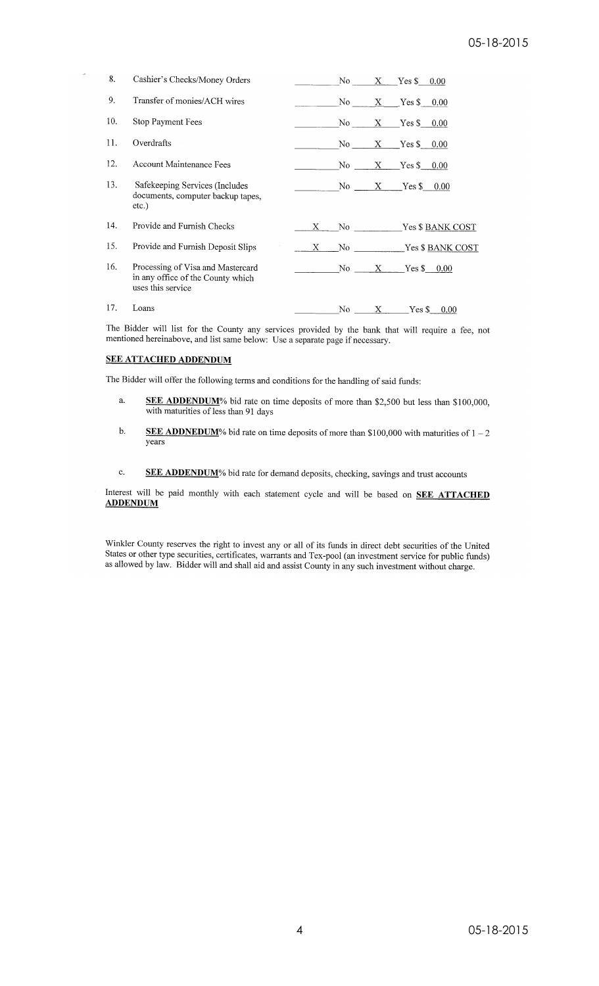| 8.  | Cashier's Checks/Money Orders                                                               |    | No         |              | $X$ Yes \$ 0.00        |
|-----|---------------------------------------------------------------------------------------------|----|------------|--------------|------------------------|
| 9.  | Transfer of monies/ACH wires                                                                |    | No r       |              | $X$ Yes \$ 0.00        |
| 10. | Stop Payment Fees                                                                           |    | No results |              | $X$ Yes $\sim$<br>0.00 |
| 11. | Overdrafts                                                                                  |    | No         |              | $X$ Yes \$<br>0.00     |
| 12. | Account Maintenance Fees                                                                    |    | No no      | $X$ and $X$  | Yes \$ 0.00            |
| 13. | Safekeeping Services (Includes<br>documents, computer backup tapes,<br>etc.)                |    |            |              | No $X$ Yes \$<br>0.00  |
| 14. | Provide and Furnish Checks                                                                  | X. |            |              | No Ves \$ BANK COST    |
| 15. | Provide and Furnish Deposit Slips                                                           | X  |            |              | No Yes \$ BANK COST    |
| 16. | Processing of Visa and Mastercard<br>in any office of the County which<br>uses this service |    | No         |              | $X = Yes$ \$ 0.00      |
| 17. | Loans                                                                                       |    | No.        | $\mathbf{X}$ | $Yes$ $$$<br>0.00      |

The Bidder will list for the County any services provided by the bank that will require a fee, not mentioned hereinabove, and list same below: Use a separate page if necessary.

### **SEE ATTACHED ADDENDUM**

The Bidder will offer the following terms and conditions for the handling of said funds:

- a. SEE ADDENDUM% bid rate on time deposits of more than \$2,500 but less than \$100,000, with maturities of less than 91 days
- **SEE ADDNEDUM**% bid rate on time deposits of more than \$100,000 with maturities of  $1-2$  $\mathbf b$ . vears
- $\mathbf{c}$ . SEE ADDENDUM% bid rate for demand deposits, checking, savings and trust accounts

Interest will be paid monthly with each statement cycle and will be based on **SEE ATTACHED ADDENDUM** 

Winkler County reserves the right to invest any or all of its funds in direct debt securities of the United<br>States or other type securities, certificates, warrants and Tex-pool (an investment service for public funds)<br>as a as allowed by law. Bidder will and shall aid and assist County in any such investment without charge.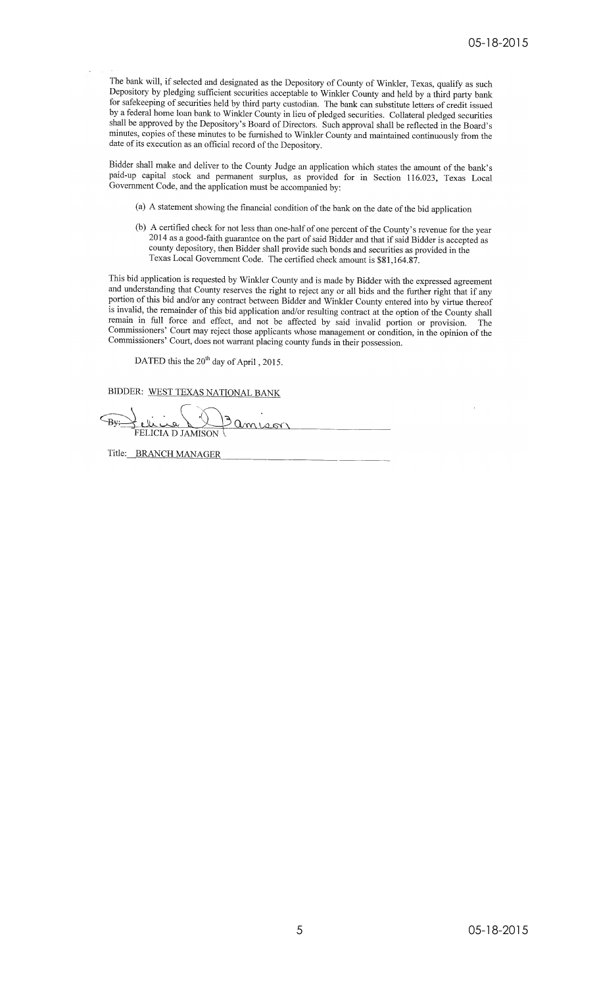The bank will, if selected and designated as the Depository of County of Winkler, Texas, qualify as such Depository by pledging sufficient securities acceptable to Winkler County of whikiel, rexas, quanty as such<br>Depository by pledging sufficient securities acceptable to Winkler County and held by a third party bank<br>for safek by a federal home loan bank to Winkler County in lieu of pledged securities. Collateral pledged securities shall be approved by the Depository's Board of Directors. Such approval shall be reflected in the Board's minutes, copies of these minutes to be furnished to Winkler County and maintained continuously from the date of its execution as an official record of the Depository.

Bidder shall make and deliver to the County Judge an application which states the amount of the bank's paid-up capital stock and permanent surplus, as provided for in Section 116.023, Texas Local Government Code, and the application must be accompanied by:

- (a) A statement showing the financial condition of the bank on the date of the bid application
- (b) A certified check for not less than one-half of one percent of the County's revenue for the year  $2014$  as a grad field 2014 as a good-faith guarantee on the part of said Bidder and that if said Bidder is accepted as county depository, then Bidder shall provide such bonds and securities as provided in the Texas Local Government Code. The certified check amount is \$81,164.87.

This bid application is requested by Winkler County and is made by Bidder with the expressed agreement and understanding that County reserves the right to reject any or all bids and the further right that if any portion of this bid and/or any contract between Bidder and Winkler County entered into by virtue thereof is invalid, the remainder of this bid application and/or resulting contract at the option of the County shall remain in full force and effect, and not be affected by said invalid portion or provision. The Commissioners' Court may reject those applicants whose management or condition, in the opinion of the Commissioners' Court, does not warrant placing county funds in their possession.

DATED this the 20<sup>th</sup> day of April, 2015.

BIDDER: WEST TEXAS NATIONAL BANK

.<br>ين يا  $\epsilon_{\rm By:}$ FELICIA D JAMISON

Title: BRANCH MANAGER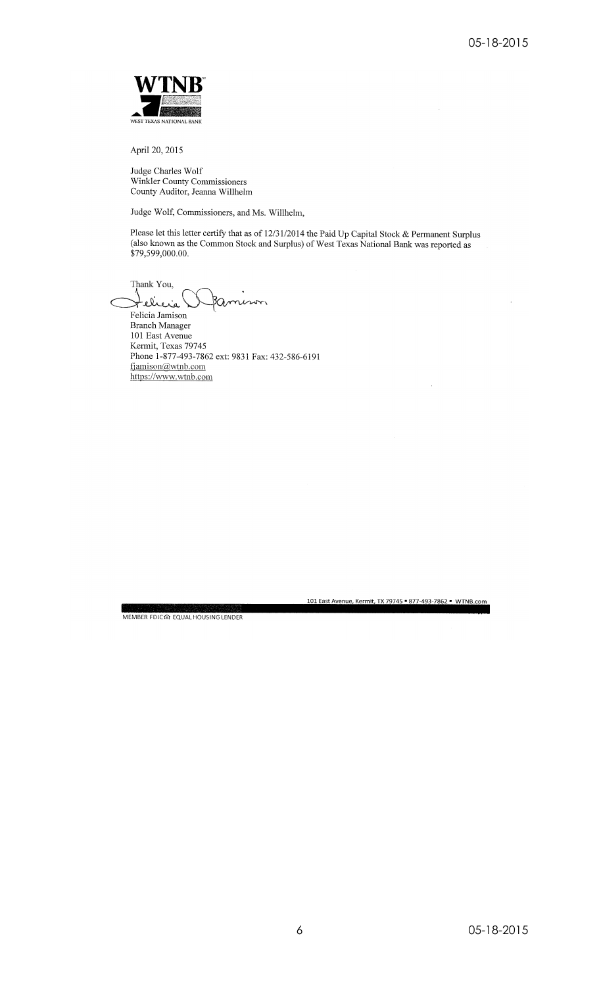

April 20, 2015

Judge Charles Wolf Winkler County Commissioners<br>County Auditor, Jeanna Willhelm

Judge Wolf, Commissioners, and Ms. Willhelm,

Please let this letter certify that as of 12/31/2014 the Paid Up Capital Stock & Permanent Surplus (also known as the Common Stock and Surplus) of West Texas National Bank was reported as \$79,599,000.00.

Thank You, elicia

Felicia Jamison **Branch Manager** 101 East Avenue Kermit, Texas 79745 Phone 1-877-493-7862 ext: 9831 Fax: 432-586-6191 fjamison@wtnb.com https://www.wtnb.com

MEMBER FDIC企 EQUAL HOUSING LENDER

05-18-2015

101 East Avenue, Kermit, TX 79745 = 877-493-7862 = WTNB.com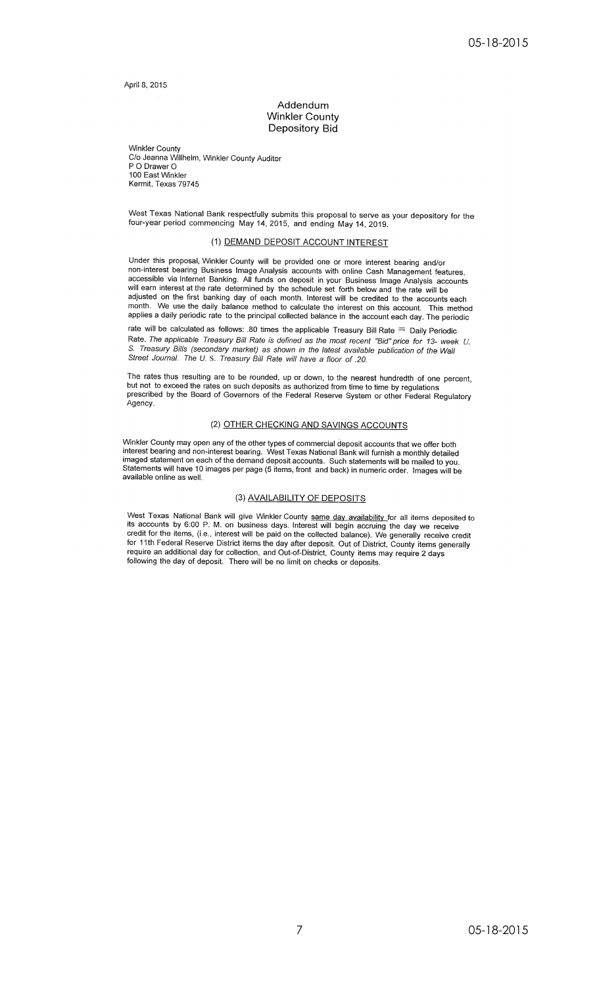April 8, 2015

### Addendum **Winkler County** Depository Bid

**Winkler County** C/o Jeanna Willhelm, Winkler County Auditor P O Drawer O 100 East Winkler Kermit, Texas 79745

West Texas National Bank respectfully submits this proposal to serve as your depository for the four-year period commencing May 14, 2015, and ending May 14, 2019.

### (1) DEMAND DEPOSIT ACCOUNT INTEREST

Under this proposal, Winkler County will be provided one or more interest bearing and/or non-interest bearing Business Image Analysis accounts with online Cash Management features, accessible via Internet Banking. All funds on deposit in your Business Image Analysis accounts will earn interest at the rate determined by the schedule set forth below and the rate will be adjusted on the first banking day of each month. Interest will be credited to the accounts each month. We use the daily balance method to calculate the interest on this account. This method applies a daily periodic rate to the principal collected balance in the account each day. The periodic

rate will be calculated as follows: .80 times the applicable Treasury Bill Rate  $=$  Daily Periodic Rate. The applicable Treasury Bill Rate is defined as the most recent "Bid" price for 13- week U. S. Treasury Bills (secondary market) as shown in the latest available publication of the Wall Street Journal. The U. S. Treasury Bill Rate will have a floor of .20.

The rates thus resulting are to be rounded, up or down, to the nearest hundredth of one percent, but not to exceed the rates on such deposits as authorized from time to time by regulations prescribed by the Board of Governors of the Federal Reserve System or other Federal Regulatory Agency.

### (2) OTHER CHECKING AND SAVINGS ACCOUNTS

Winkler County may open any of the other types of commercial deposit accounts that we offer both Interest bearing and non-interest bearing. West Texas National Bank will furnish a monthly detailed<br>imaged statement on each of the demand deposit accounts. Such statements will be mailed to you.<br>Statements will have 10 im available online as well.

#### (3) AVAILABILITY OF DEPOSITS

West Texas National Bank will give Winkler County same day availability for all items deposited to its accounts by 6.00 P. M. on business days. Interest will begin accruing the day we receive credit for the items, (i.e., interest will be paid on the collected balance). We generally receive credit for the items, (i.e., interest will be paid on the collected balance). We generally receive credit for 11th Federal require an additional day for collection, and Out-of-District, County items may require 2 days following the day of deposit. There will be no limit on checks or deposits.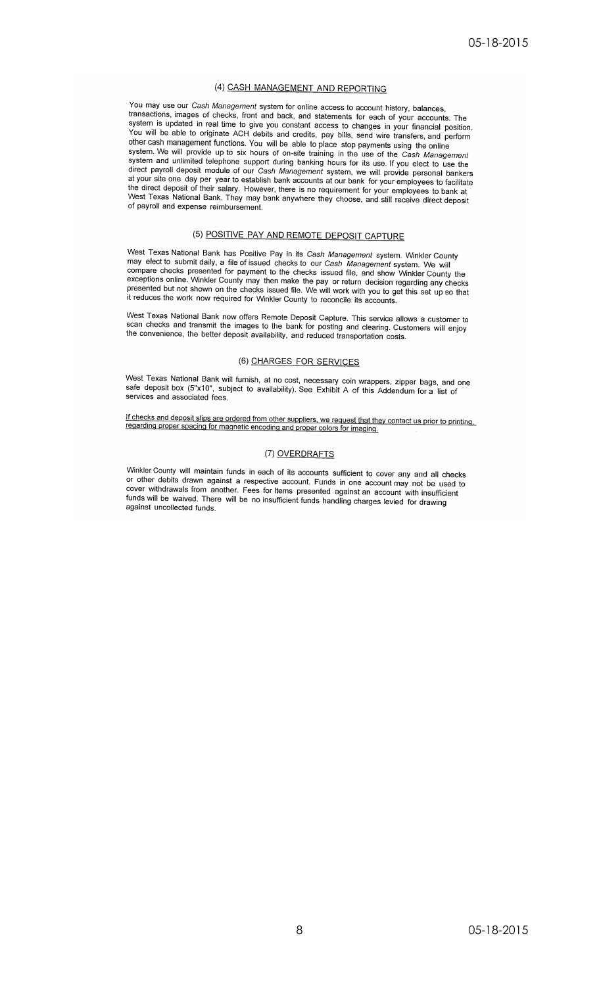#### (4) CASH MANAGEMENT AND REPORTING

You may use our Cash Management system for online access to account history, balances, transactions, images of checks, front and back, and statements for each of your accounts. The system is updated in real time to give you constant access to changes in your financial position. You will be able to originate ACH debits and credits, pay bills, send wire transfers, and perform ou will be able to brighter ACT traditional strength, pay bins, some wild entirely and perform<br>other cash management functions. You will be able to place stop payments using the online<br>system. We will provide up to six hou direct payroll deposit module of our Cash Management system, we will provide personal bankers at your site one day per year to establish bank accounts at our bank for your employees to facilitate<br>the direct deposit of their salary. However, there is no requirement for your employees to bank at West Texas National Bank. They may bank anywhere they choose, and still receive direct deposit of payroll and expense reimbursement.

# (5) POSITIVE PAY AND REMOTE DEPOSIT CAPTURE

West Texas National Bank has Positive Pay in its Cash Management system. Winkler County may elect to submit daily, a file of issued checks to our Cash Management system. We will compare checks presented for payment to the checks issued file, and show Winkler County the<br>exceptions online. Winkler County may then make the pay or return decision regarding any checks<br>presented but not shown on the che it reduces the work now required for Winkler County to reconcile its accounts.

West Texas National Bank now offers Remote Deposit Capture. This service allows a customer to<br>scan checks and transmit the images to the bank for posting and clearing. Customers will enjoy the convenience, the better deposit availability, and reduced transportation costs.

#### (6) CHARGES FOR SERVICES

West Texas National Bank will furnish, at no cost, necessary coin wrappers, zipper bags, and one<br>safe deposit box (5"x10", subject to availability). See Exhibit A of this Addendum for a list of services and associated fees.

If checks and deposit slips are ordered from other suppliers, we request that they contact us prior to printing.<br>regarding proper spacing for magnetic encoding and proper colors for imaging.

### (7) OVERDRAFTS

Winkler County will maintain funds in each of its accounts sufficient to cover any and all checks or other debits drawn against a respective account. Funds in one account may not be used to cover withdrawals from another. Fees for Items presented against an account with insufficient funds will be waived. There will be no insufficient funds handling charges levied for drawing against uncollected funds.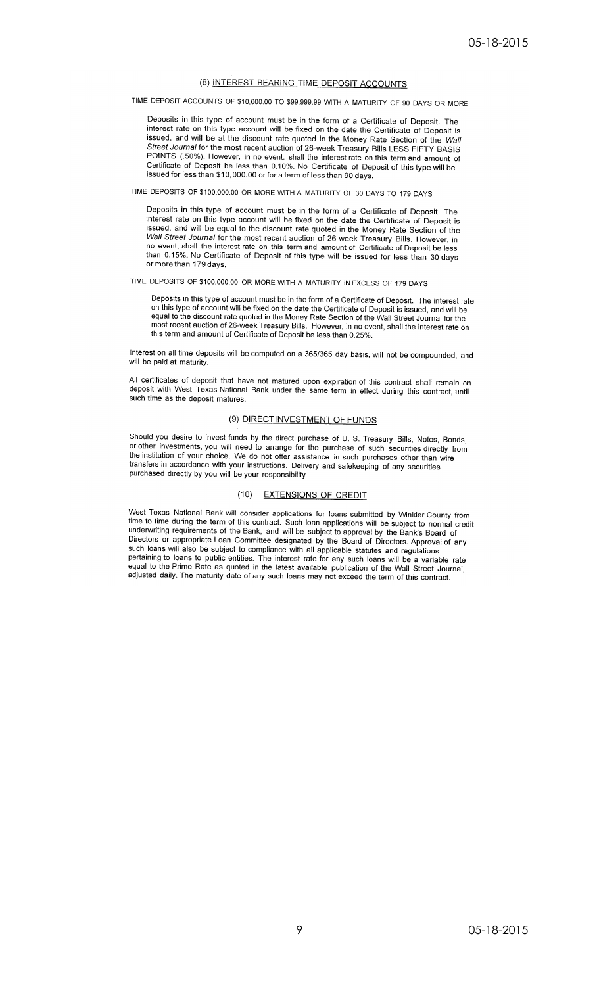#### (8) INTEREST BEARING TIME DEPOSIT ACCOUNTS

TIME DEPOSIT ACCOUNTS OF \$10,000.00 TO \$99,999.99 WITH A MATURITY OF 90 DAYS OR MORE

Deposits in this type of account must be in the form of a Certificate of Deposit. The interest rate on this type account will be fixed on the date the Certificate of Deposit is issued, and will be at the discount rate quoted in the Money Rate Section of the Wall Street Journal for the most recent auction of 26-week Treasury Bills LESS FIFTY BASIS POINTS (.50%). However, in no event, shall the interest rate on this term and amount of Certificate of Deposit be less than 0.10%. No Certificate of Deposit of this type will be issued for less than \$10,000.00 or for a term of less than 90 days.

### TIME DEPOSITS OF \$100,000.00 OR MORE WITH A MATURITY OF 30 DAYS TO 179 DAYS

Deposits in this type of account must be in the form of a Certificate of Deposit. The interest rate on this type account will be fixed on the date the Certificate of Deposit is issued, and will be equal to the discount rate quoted in the Money Rate Section of the Wall Street Journal for the most recent auction of 26-week Treasury Bills. However, in no event, shall the interest rate on this term and amount of Certificate of Deposit be less than 0.15%. No Certificate of Deposit of this type will be issued for less than 30 days or more than 179 days.

### TIME DEPOSITS OF \$100,000.00 OR MORE WITH A MATURITY IN EXCESS OF 179 DAYS

Deposits in this type of account must be in the form of a Certificate of Deposit. The interest rate on this type of account must be the date the Certificate of Deposit. The interest rate<br>on this type of account will be fixed on the date the Certificate of Deposit is issued, and will be<br>equal to the discount rate quoted i this term and amount of Certificate of Deposit be less than 0.25%.

Interest on all time deposits will be computed on a 365/365 day basis, will not be compounded, and will be paid at maturity.

All certificates of deposit that have not matured upon expiration of this contract shall remain on deposit with West Texas National Bank under the same term in effect during this contract, until such time as the deposit matures.

## (9) DIRECT INVESTMENT OF FUNDS

Should you desire to invest funds by the direct purchase of U.S. Treasury Bills, Notes, Bonds, or other investments, you will need to arrange for the purchase of such securities directly from the institution of your choice. We do not offer assistance in such purchases other than wire transfers in accordance with your instructions. Delivery and safekeeping of any securities purchased directly by you will be your responsibility.

#### (10) EXTENSIONS OF CREDIT

West Texas National Bank will consider applications for loans submitted by Winkler County from time to time during the term of this contract. Such loan applications will be subject to normal credit<br>underwriting requirements of the Bank, and will be subject to approval by the Bank's Board of Directors or appropriate Loan Committee designated by the Board of Directors. Approval of any<br>such loans will also be subject to compliance with all applicable statutes and regulations pertaining to loans to public entities. The interest rate for any such loans will be a variable rate<br>equal to the Prime Rate as quoted in the latest available publication of the Wall Street Journal, adjusted daily. The maturity date of any such loans may not exceed the term of this contract.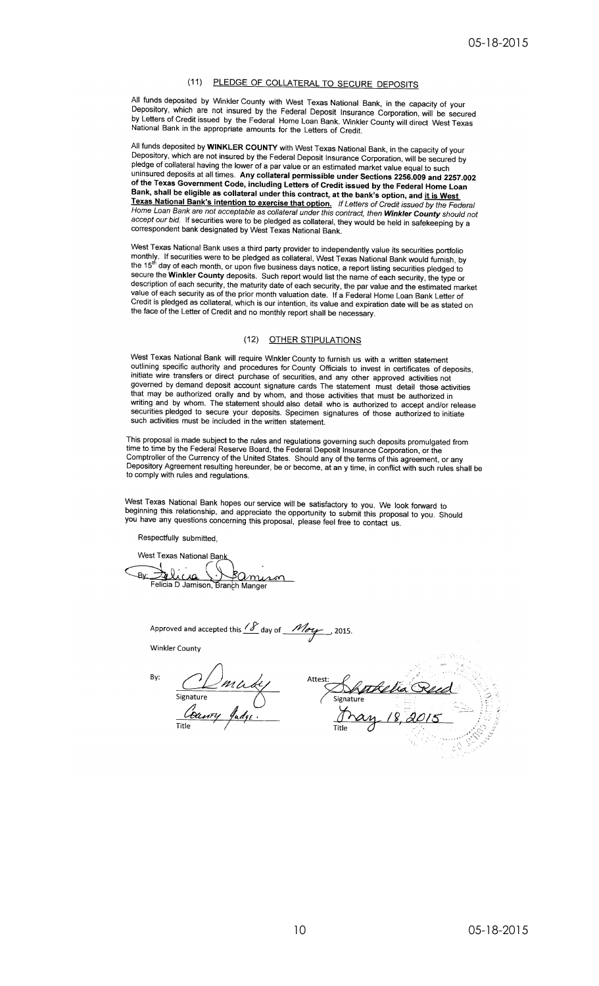# (11) PLEDGE OF COLLATERAL TO SECURE DEPOSITS

All funds deposited by Winkler County with West Texas National Bank, in the capacity of your Depository, which are not insured by the Federal Deposit Insurance Corporation, will be secured<br>by Letters of Credit issued by the Federal Home Loan Bank. Winkler County will direct West Texas<br>National Bank in the appropri

All funds deposited by WINKLER COUNTY with West Texas National Bank, in the capacity of your Depository, which are not insured by the Federal Deposit Insurance Corporation, will be secured by pledge of collateral having the lower of a par value or an estimated market value equal to such uninsured deposits at all times. Any collateral permissible under Sections 2256.009 and 2257.002 of the Texas Government Code, including Letters of Credit issued by the Federal Home Loan<br>Bank, shall be eligible as collateral under this contract, at the bank's option, and i<u>t is West</u> Texas National Bank's intention to exercise that option. If Letters of Credit issued by the Federal Home Loan Bank are not acceptable as collateral under this contract, then **Winkler County** should not accept our bid. If securities were to be pledged as collateral, they would be held in safekeeping by a correspondent bank designated by West Texas National Bank.

West Texas National Bank uses a third party provider to independently value its securities portfolio monthly. If securities were to be pledged as collateral, West Texas National Bank would furnish, by<br>the 15<sup>th</sup> day of each month, or upon five business days notice, a report listing securities pledged to Secure the Winkler County deposits. Such report would list the name of each security, the type or<br>description of each security, the maturity date of each security, the par value and the estimated market<br>value of each secur the face of the Letter of Credit and no monthly report shall be necessary.

### (12) OTHER STIPULATIONS

West Texas National Bank will require Winkler County to furnish us with a written statement outlining specific authority and procedures for County Officials to invest in certificates of deposits, initiate wire transfers or direct purchase of securities, and any other approved activities not<br>governed by demand deposit account signature cards The statement must detail those activities that may be authorized orally and by whom, and those activities that must be authorized in writing and by whom. The statement should also detail who is authorized to accept and/or release<br>securities pledged to secure your deposits. Specimen signatures of those authorized to initiate such activities must be included in the written statement.

This proposal is made subject to the rules and regulations governing such deposits promulgated from<br>time to time by the Federal Reserve Board, the Federal Deposit Insurance Corporation, or the<br>Comptroller of the Currency o

West Texas National Bank hopes our service will be satisfactory to you. We look forward to beginning this relationship, and appreciate the opportunity to submit this proposal to you. Should you have any questions concernin

Respectfully submitted,

West Texas National Bank Felico <u>Jolicua Bamuson</u> Bv

Approved and accepted this  $\frac{18}{18}$  day of  $\frac{M_{\text{avg}}}{M_{\text{avg}}}$  2015.

**Winkler County** 

By:

Suttlia Reed<br>Signature<br>Dray 18, 2015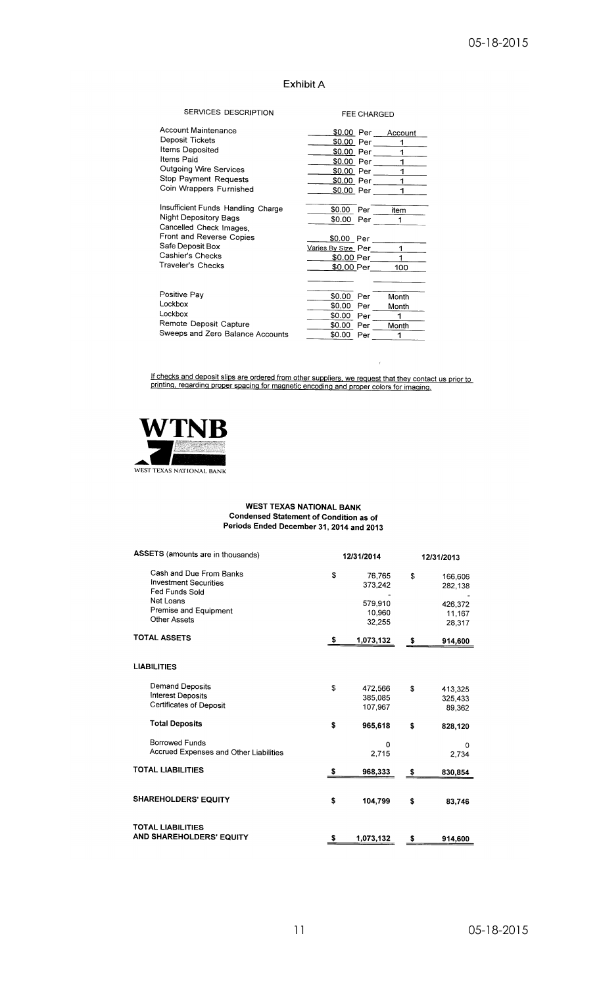# Exhibit A

| SERVICES DESCRIPTION               | <b>FEE CHARGED</b>                                        |
|------------------------------------|-----------------------------------------------------------|
| Account Maintenance                | \$0.00 Per Account                                        |
| Deposit Tickets                    | <u>\$0.00</u> Per _____<br>1                              |
| Items Deposited                    | \$0.00 Per                                                |
| Items Paid                         | $1 \underline{\qquad}$<br>$1 -$<br>\$0.00 Per _____       |
| Outgoing Wire Services             | <u>\$0,00</u> Per _____                                   |
| Stop Payment Requests              | $1$ <sub>---</sub><br>$1 \quad \qquad$<br>\$0.00 Per ____ |
| Coin Wrappers Furnished            | \$0.00 Per ____<br>1.                                     |
|                                    |                                                           |
| Insufficient Funds Handling Charge | \$0.00 Per<br>item                                        |
| <b>Night Depository Bags</b>       | \$0.00<br>1<br>Per                                        |
| Cancelled Check Images,            |                                                           |
| Front and Reverse Copies           | <u>\$0.00</u> Per _____                                   |
| Safe Deposit Box                   | 1<br>Varies By Size Per_____                              |
| Cashier's Checks                   | \$0.00 Per                                                |
| Traveler's Checks                  | \$0.00 Per<br>100 <sub>1</sub>                            |
|                                    |                                                           |
|                                    |                                                           |
| Positive Pay                       | \$0.00 Per<br>Month                                       |
| Lockbox                            | \$0.00 Per<br>Month                                       |
| Lockbox                            | \$0.00 Per<br>1                                           |
| Remote Deposit Capture             | \$0.00 Per<br>Month                                       |
| Sweeps and Zero Balance Accounts   | \$0.00 Per<br>1                                           |

If checks and deposit slips are ordered from other suppliers, we request that they contact us prior to printing, regarding proper spacing for magnetic encoding and proper colors for imaging.



# **WEST TEXAS NATIONAL BANK CONFIGUREM CONSTRATIONAL DANK**<br>Condensed Statement of Condition as of<br>Periods Ended December 31, 2014 and 2013

| ASSETS (amounts are in thousands)<br>12/31/2014 |                   | 12/31/2013        |                    |  |
|-------------------------------------------------|-------------------|-------------------|--------------------|--|
| \$                                              | 76,765<br>373,242 | \$                | 166,606<br>282,138 |  |
|                                                 |                   |                   | 426,372            |  |
|                                                 |                   |                   | 11.167             |  |
|                                                 | 32.255            |                   | 28,317             |  |
| \$                                              | 1,073,132         | \$                | 914,600            |  |
|                                                 |                   |                   |                    |  |
| \$                                              | 472,566           | \$                | 413,325            |  |
|                                                 | 385,085           |                   | 325,433            |  |
|                                                 | 107.967           |                   | 89,362             |  |
| \$                                              | 965,618           | \$                | 828,120            |  |
|                                                 | 0                 |                   | 0                  |  |
|                                                 | 2,715             |                   | 2.734              |  |
| \$                                              | 968,333           | \$                | 830,854            |  |
| \$                                              | 104,799           | \$                | 83,746             |  |
|                                                 |                   |                   |                    |  |
| \$                                              | 1,073,132         | \$                | 914,600            |  |
|                                                 |                   | 579.910<br>10.960 |                    |  |